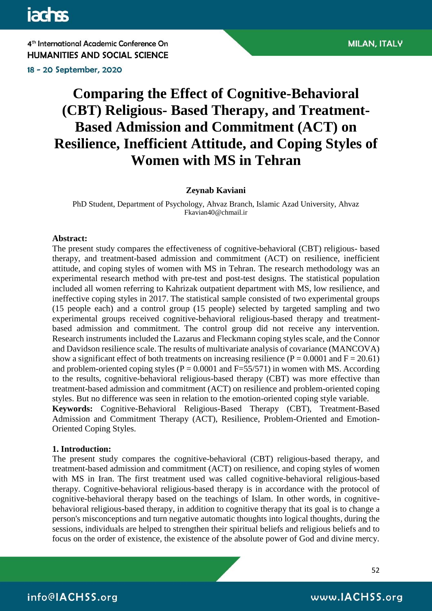18 - 20 September, 2020

# **Comparing the Effect of Cognitive-Behavioral (CBT) Religious- Based Therapy, and Treatment-Based Admission and Commitment (ACT) on Resilience, Inefficient Attitude, and Coping Styles of Women with MS in Tehran**

#### **Zeynab Kaviani**

PhD Student, Department of Psychology, Ahvaz Branch, Islamic Azad University, Ahvaz [Fkavian40@chmail.ir](mailto:Fkavian40@chmail.ir)

#### **Abstract:**

The present study compares the effectiveness of cognitive-behavioral (CBT) religious- based therapy, and treatment-based admission and commitment (ACT) on resilience, inefficient attitude, and coping styles of women with MS in Tehran. The research methodology was an experimental research method with pre-test and post-test designs. The statistical population included all women referring to Kahrizak outpatient department with MS, low resilience, and ineffective coping styles in 2017. The statistical sample consisted of two experimental groups (15 people each) and a control group (15 people) selected by targeted sampling and two experimental groups received cognitive-behavioral religious-based therapy and treatmentbased admission and commitment. The control group did not receive any intervention. Research instruments included the Lazarus and Fleckmann coping styles scale, and the Connor and Davidson resilience scale. The results of multivariate analysis of covariance (MANCOVA) show a significant effect of both treatments on increasing resilience ( $P = 0.0001$  and  $F = 20.61$ ) and problem-oriented coping styles ( $P = 0.0001$  and  $F = 55/571$ ) in women with MS. According to the results, cognitive-behavioral religious-based therapy (CBT) was more effective than treatment-based admission and commitment (ACT) on resilience and problem-oriented coping styles. But no difference was seen in relation to the emotion-oriented coping style variable. **Keywords:** Cognitive-Behavioral Religious-Based Therapy (CBT), Treatment-Based Admission and Commitment Therapy (ACT), Resilience, Problem-Oriented and Emotion-Oriented Coping Styles.

#### **1. Introduction:**

The present study compares the cognitive-behavioral (CBT) religious-based therapy, and treatment-based admission and commitment (ACT) on resilience, and coping styles of women with MS in Iran. The first treatment used was called cognitive-behavioral religious-based therapy. Cognitive-behavioral religious-based therapy is in accordance with the protocol of cognitive-behavioral therapy based on the teachings of Islam. In other words, in cognitivebehavioral religious-based therapy, in addition to cognitive therapy that its goal is to change a person's misconceptions and turn negative automatic thoughts into logical thoughts, during the sessions, individuals are helped to strengthen their spiritual beliefs and religious beliefs and to focus on the order of existence, the existence of the absolute power of God and divine mercy.

52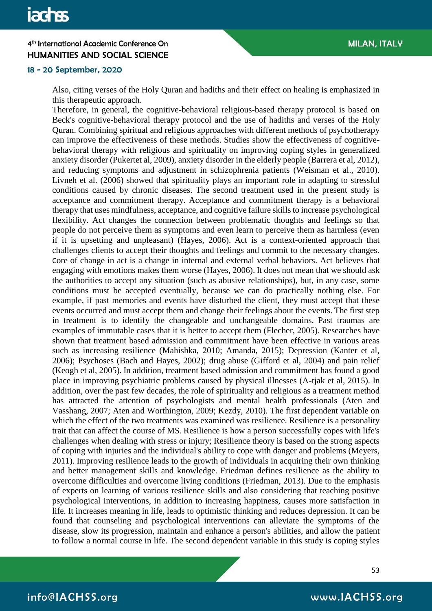#### 18 - 20 September, 2020

Also, citing verses of the Holy Quran and hadiths and their effect on healing is emphasized in this therapeutic approach.

Therefore, in general, the cognitive-behavioral religious-based therapy protocol is based on Beck's cognitive-behavioral therapy protocol and the use of hadiths and verses of the Holy Quran. Combining spiritual and religious approaches with different methods of psychotherapy can improve the effectiveness of these methods. Studies show the effectiveness of cognitivebehavioral therapy with religious and spirituality on improving coping styles in generalized anxiety disorder (Pukertet al, 2009), anxiety disorder in the elderly people (Barrera et al, 2012), and reducing symptoms and adjustment in schizophrenia patients (Weisman et al., 2010). Livneh et al. (2006) showed that spirituality plays an important role in adapting to stressful conditions caused by chronic diseases. The second treatment used in the present study is acceptance and commitment therapy. Acceptance and commitment therapy is a behavioral therapy that uses mindfulness, acceptance, and cognitive failure skills to increase psychological flexibility. Act changes the connection between problematic thoughts and feelings so that people do not perceive them as symptoms and even learn to perceive them as harmless (even if it is upsetting and unpleasant) (Hayes, 2006). Act is a context-oriented approach that challenges clients to accept their thoughts and feelings and commit to the necessary changes. Core of change in act is a change in internal and external verbal behaviors. Act believes that engaging with emotions makes them worse (Hayes, 2006). It does not mean that we should ask the authorities to accept any situation (such as abusive relationships), but, in any case, some conditions must be accepted eventually, because we can do practically nothing else. For example, if past memories and events have disturbed the client, they must accept that these events occurred and must accept them and change their feelings about the events. The first step in treatment is to identify the changeable and unchangeable domains. Past traumas are examples of immutable cases that it is better to accept them (Flecher, 2005). Researches have shown that treatment based admission and commitment have been effective in various areas such as increasing resilience (Mahishka, 2010; Amanda, 2015); Depression (Kanter et al, 2006); Psychoses (Bach and Hayes, 2002); drug abuse (Gifford et al, 2004) and pain relief (Keogh et al, 2005). In addition, treatment based admission and commitment has found a good place in improving psychiatric problems caused by physical illnesses (A-tjak et al, 2015). In addition, over the past few decades, the role of spirituality and religious as a treatment method has attracted the attention of psychologists and mental health professionals (Aten and Vasshang, 2007; Aten and Worthington, 2009; Kezdy, 2010). The first dependent variable on which the effect of the two treatments was examined was resilience. Resilience is a personality trait that can affect the course of MS. Resilience is how a person successfully copes with life's challenges when dealing with stress or injury; Resilience theory is based on the strong aspects of coping with injuries and the individual's ability to cope with danger and problems (Meyers, 2011). Improving resilience leads to the growth of individuals in acquiring their own thinking and better management skills and knowledge. Friedman defines resilience as the ability to overcome difficulties and overcome living conditions (Friedman, 2013). Due to the emphasis of experts on learning of various resilience skills and also considering that teaching positive psychological interventions, in addition to increasing happiness, causes more satisfaction in life. It increases meaning in life, leads to optimistic thinking and reduces depression. It can be found that counseling and psychological interventions can alleviate the symptoms of the disease, slow its progression, maintain and enhance a person's abilities, and allow the patient to follow a normal course in life. The second dependent variable in this study is coping styles

53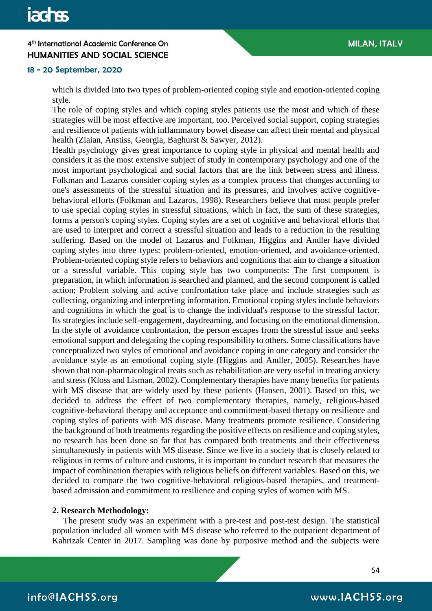### 18 - 20 September, 2020

which is divided into two types of problem-oriented coping style and emotion-oriented coping style.

The role of coping styles and which coping styles patients use the most and which of these strategies will be most effective are important, too. Perceived social support, coping strategies and resilience of patients with inflammatory bowel disease can affect their mental and physical health (Ziaian, Anstiss, Georgia, Baghurst & Sawyer, 2012).

Health psychology gives great importance to coping style in physical and mental health and considers it as the most extensive subject of study in contemporary psychology and one of the most important psychological and social factors that are the link between stress and illness. Folkman and Lazaros consider coping styles as a complex process that changes according to one's assessments of the stressful situation and its pressures, and involves active cognitivebehavioral efforts (Folkman and Lazaros, 1998). Researchers believe that most people prefer to use special coping styles in stressful situations, which in fact, the sum of these strategies, forms a person's coping styles. Coping styles are a set of cognitive and behavioral efforts that are used to interpret and correct a stressful situation and leads to a reduction in the resulting suffering. Based on the model of Lazarus and Folkman, Higgins and Andler have divided coping styles into three types: problem-oriented, emotion-oriented, and avoidance-oriented. Problem-oriented coping style refers to behaviors and cognitions that aim to change a situation or a stressful variable. This coping style has two components: The first component is preparation, in which information is searched and planned, and the second component is called action; Problem solving and active confrontation take place and include strategies such as collecting, organizing and interpreting information. Emotional coping styles include behaviors and cognitions in which the goal is to change the individual's response to the stressful factor. Its strategies include self-engagement, daydreaming, and focusing on the emotional dimension. In the style of avoidance confrontation, the person escapes from the stressful issue and seeks emotional support and delegating the coping responsibility to others. Some classifications have conceptualized two styles of emotional and avoidance coping in one category and consider the avoidance style as an emotional coping style (Higgins and Andler, 2005). Researches have shown that non-pharmacological treats such as rehabilitation are very useful in treating anxiety and stress (Kloss and Lisman, 2002). Complementary therapies have many benefits for patients with MS disease that are widely used by these patients (Hansen, 2001). Based on this, we decided to address the effect of two complementary therapies, namely, religious-based cognitive-behavioral therapy and acceptance and commitment-based therapy on resilience and coping styles of patients with MS disease. Many treatments promote resilience. Considering the background of both treatments regarding the positive effects on resilience and coping styles, no research has been done so far that has compared both treatments and their effectiveness simultaneously in patients with MS disease. Since we live in a society that is closely related to religious in terms of culture and customs, it is important to conduct research that measures the impact of combination therapies with religious beliefs on different variables. Based on this, we decided to compare the two cognitive-behavioral religious-based therapies, and treatmentbased admission and commitment to resilience and coping styles of women with MS.

#### **2. Research Methodology:**

 The present study was an experiment with a pre-test and post-test design. The statistical population included all women with MS disease who referred to the outpatient department of Kahrizak Center in 2017. Sampling was done by purposive method and the subjects were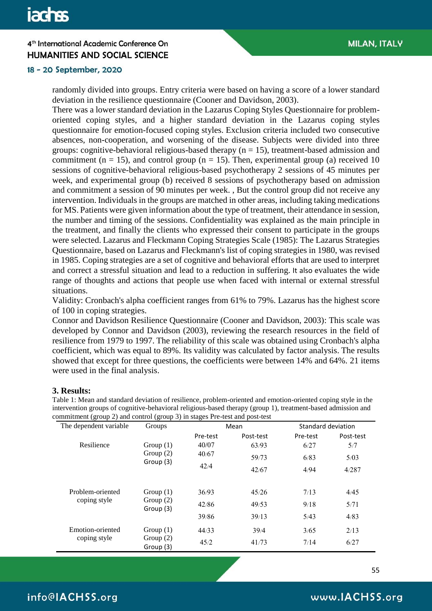#### 18 - 20 September, 2020

randomly divided into groups. Entry criteria were based on having a score of a lower standard deviation in the resilience questionnaire (Cooner and Davidson, 2003).

There was a lower standard deviation in the Lazarus Coping Styles Questionnaire for problemoriented coping styles, and a higher standard deviation in the Lazarus coping styles questionnaire for emotion-focused coping styles. Exclusion criteria included two consecutive absences, non-cooperation, and worsening of the disease. Subjects were divided into three groups: cognitive-behavioral religious-based therapy ( $n = 15$ ), treatment-based admission and commitment ( $n = 15$ ), and control group ( $n = 15$ ). Then, experimental group (a) received 10 sessions of cognitive-behavioral religious-based psychotherapy 2 sessions of 45 minutes per week, and experimental group (b) received 8 sessions of psychotherapy based on admission and commitment a session of 90 minutes per week. , But the control group did not receive any intervention. Individuals in the groups are matched in other areas, including taking medications for MS. Patients were given information about the type of treatment, their attendance in session, the number and timing of the sessions. Confidentiality was explained as the main principle in the treatment, and finally the clients who expressed their consent to participate in the groups were selected. Lazarus and Fleckmann Coping Strategies Scale (1985): The Lazarus Strategies Questionnaire, based on Lazarus and Fleckmann's list of coping strategies in 1980, was revised in 1985. Coping strategies are a set of cognitive and behavioral efforts that are used to interpret and correct a stressful situation and lead to a reduction in suffering. It also evaluates the wide range of thoughts and actions that people use when faced with internal or external stressful situations.

Validity: Cronbach's alpha coefficient ranges from 61% to 79%. Lazarus has the highest score of 100 in coping strategies.

Connor and Davidson Resilience Questionnaire (Cooner and Davidson, 2003): This scale was developed by Connor and Davidson (2003), reviewing the research resources in the field of resilience from 1979 to 1997. The reliability of this scale was obtained using Cronbach's alpha coefficient, which was equal to 89%. Its validity was calculated by factor analysis. The results showed that except for three questions, the coefficients were between 14% and 64%. 21 items were used in the final analysis.

#### **3. Results:**

| $\sigma$ $\sim$ $\mu$ $\sim$ $\mu$<br>The dependent variable | $5.04 \mu$<br>Groups                    |          | Mean      | Standard deviation |           |  |
|--------------------------------------------------------------|-----------------------------------------|----------|-----------|--------------------|-----------|--|
|                                                              |                                         | Pre-test | Post-test | Pre-test           | Post-test |  |
| Resilience                                                   | Group $(1)$                             | 40/07    | 63/93     | 6/27               | 5/7       |  |
|                                                              | Group $(2)$<br>Group (3)                | 40/67    | 59/73     | 6/83               | 5/03      |  |
|                                                              |                                         | 42/4     | 42/67     | 4/94               | 4/287     |  |
| Problem-oriented<br>coping style                             | Group $(1)$<br>Group $(2)$<br>Group (3) | 36/93    | 45/26     | 7/13               | 4/45      |  |
|                                                              |                                         | 42/86    | 49/53     | 9/18               | 5/71      |  |
|                                                              |                                         | 39/86    | 39/13     | 5/43               | 4/83      |  |
| Emotion-oriented<br>coping style                             | Group $(1)$<br>Group $(2)$<br>Group (3) | 44/33    | 39/4      | 3/65               | 2/13      |  |
|                                                              |                                         | 45/2     | 41/73     | 7/14               | 6/27      |  |

Table 1: Mean and standard deviation of resilience, problem-oriented and emotion-oriented coping style in the intervention groups of cognitive-behavioral religious-based therapy (group 1), treatment-based admission and commitment (group 2) and control (group 3) in stages Pre-test and post-test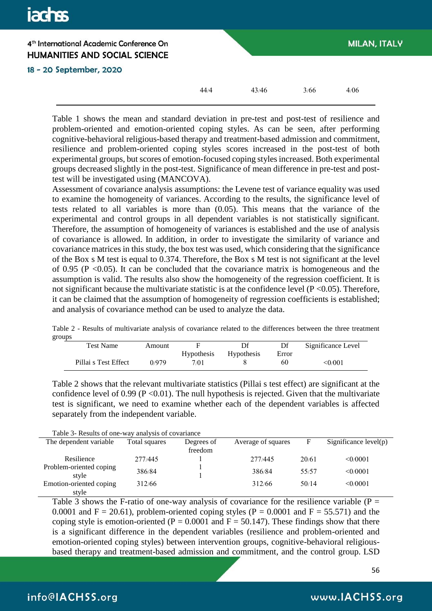# **jachss** 4<sup>th</sup> International Academic Conference On **MILAN, ITALY HUMANITIES AND SOCIAL SCIENCE** 18 - 20 September, 2020  $44/4$   $43/46$   $3/66$   $4/06$

Table 1 shows the mean and standard deviation in pre-test and post-test of resilience and problem-oriented and emotion-oriented coping styles. As can be seen, after performing cognitive-behavioral religious-based therapy and treatment-based admission and commitment, resilience and problem-oriented coping styles scores increased in the post-test of both experimental groups, but scores of emotion-focused coping styles increased. Both experimental groups decreased slightly in the post-test. Significance of mean difference in pre-test and posttest will be investigated using (MANCOVA).

Assessment of covariance analysis assumptions: the Levene test of variance equality was used to examine the homogeneity of variances. According to the results, the significance level of tests related to all variables is more than (0.05). This means that the variance of the experimental and control groups in all dependent variables is not statistically significant. Therefore, the assumption of homogeneity of variances is established and the use of analysis of covariance is allowed. In addition, in order to investigate the similarity of variance and covariance matrices in this study, the box test was used, which considering that the significance of the Box s M test is equal to 0.374. Therefore, the Box s M test is not significant at the level of 0.95 ( $P \le 0.05$ ). It can be concluded that the covariance matrix is homogeneous and the assumption is valid. The results also show the homogeneity of the regression coefficient. It is not significant because the multivariate statistic is at the confidence level  $(P \le 0.05)$ . Therefore, it can be claimed that the assumption of homogeneity of regression coefficients is established; and analysis of covariance method can be used to analyze the data.

|        |  |  |  |  | Table 2 - Results of multivariate analysis of covariance related to the differences between the three treatment |  |  |
|--------|--|--|--|--|-----------------------------------------------------------------------------------------------------------------|--|--|
| groups |  |  |  |  |                                                                                                                 |  |  |

| Test Name            | Amount |      |                       | Df    | Significance Level |
|----------------------|--------|------|-----------------------|-------|--------------------|
|                      |        |      | Hypothesis Hypothesis | Error |                    |
| Pillai s Test Effect | 0/979  | 7/01 |                       | 60    | $<$ 0/001          |

Table 2 shows that the relevant multivariate statistics (Pillai s test effect) are significant at the confidence level of  $0.99$  (P < 0.01). The null hypothesis is rejected. Given that the multivariate test is significant, we need to examine whether each of the dependent variables is affected separately from the independent variable.

| The dependent variable           | Total squares | Degrees of<br>freedom | Average of squares | F     | Significance $level(p)$ |
|----------------------------------|---------------|-----------------------|--------------------|-------|-------------------------|
| Resilience                       | 277/445       |                       | 277/445            | 20/61 | <0/0001                 |
| Problem-oriented coping<br>style | 386/84        |                       | 386/84             | 55/57 | <0/0001                 |
| Emotion-oriented coping<br>style | 312/66        |                       | 312/66             | 50/14 | <0/0001                 |

Table 3 shows the F-ratio of one-way analysis of covariance for the resilience variable ( $P =$ 0.0001 and  $F = 20.61$ ), problem-oriented coping styles (P = 0.0001 and F = 55.571) and the coping style is emotion-oriented ( $P = 0.0001$  and  $F = 50.147$ ). These findings show that there is a significant difference in the dependent variables (resilience and problem-oriented and emotion-oriented coping styles) between intervention groups, cognitive-behavioral religiousbased therapy and treatment-based admission and commitment, and the control group. LSD

56

# info@IACHSS.org

# www.IACHSS.org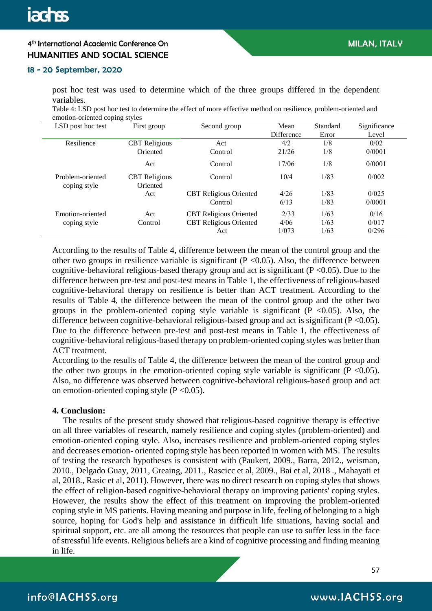#### 18 - 20 September, 2020

post hoc test was used to determine which of the three groups differed in the dependent variables.

Table 4: LSD post hoc test to determine the effect of more effective method on resilience, problem-oriented and emotion-oriented coping styles

| LSD post hoc test                | First group                      | Second group                  | Mean       | Standard | Significance |
|----------------------------------|----------------------------------|-------------------------------|------------|----------|--------------|
|                                  |                                  |                               | Difference | Error    | Level        |
| Resilience                       | <b>CBT</b> Religious             | Act                           | 4/2        | 1/8      | 0/02         |
|                                  | Oriented                         | Control                       | 21/26      | 1/8      | 0/0001       |
|                                  | Act                              | Control                       | 17/06      | 1/8      | 0/0001       |
| Problem-oriented<br>coping style | <b>CBT</b> Religious<br>Oriented | Control                       | 10/4       | 1/83     | 0/002        |
|                                  | Act                              | <b>CBT</b> Religious Oriented | 4/26       | 1/83     | 0/025        |
|                                  |                                  | Control                       | 6/13       | 1/83     | 0/0001       |
| Emotion-oriented                 | Act                              | <b>CBT</b> Religious Oriented | 2/33       | 1/63     | 0/16         |
| coping style                     | Control                          | <b>CBT</b> Religious Oriented | 4/06       | 1/63     | 0/017        |
|                                  |                                  | Act                           | 1/073      | 1/63     | 0/296        |

According to the results of Table 4, difference between the mean of the control group and the other two groups in resilience variable is significant ( $P \le 0.05$ ). Also, the difference between cognitive-behavioral religious-based therapy group and act is significant ( $P \le 0.05$ ). Due to the difference between pre-test and post-test means in Table 1, the effectiveness of religious-based cognitive-behavioral therapy on resilience is better than ACT treatment. According to the results of Table 4, the difference between the mean of the control group and the other two groups in the problem-oriented coping style variable is significant ( $P \le 0.05$ ). Also, the difference between cognitive-behavioral religious-based group and act is significant ( $P < 0.05$ ). Due to the difference between pre-test and post-test means in Table 1, the effectiveness of cognitive-behavioral religious-based therapy on problem-oriented coping styles was better than ACT treatment.

According to the results of Table 4, the difference between the mean of the control group and the other two groups in the emotion-oriented coping style variable is significant  $(P < 0.05)$ . Also, no difference was observed between cognitive-behavioral religious-based group and act on emotion-oriented coping style  $(P < 0.05)$ .

#### **4. Conclusion:**

 The results of the present study showed that religious-based cognitive therapy is effective on all three variables of research, namely resilience and coping styles (problem-oriented) and emotion-oriented coping style. Also, increases resilience and problem-oriented coping styles and decreases emotion- oriented coping style has been reported in women with MS. The results of testing the research hypotheses is consistent with (Paukert, 2009., Barra, 2012., weisman, 2010., Delgado Guay, 2011, Greaing, 2011., Rascicc et al, 2009., Bai et al, 2018 ., Mahayati et al, 2018., Rasic et al, 2011). However, there was no direct research on coping styles that shows the effect of religion-based cognitive-behavioral therapy on improving patients' coping styles. However, the results show the effect of this treatment on improving the problem-oriented coping style in MS patients. Having meaning and purpose in life, feeling of belonging to a high source, hoping for God's help and assistance in difficult life situations, having social and spiritual support, etc. are all among the resources that people can use to suffer less in the face of stressful life events. Religious beliefs are a kind of cognitive processing and finding meaning in life.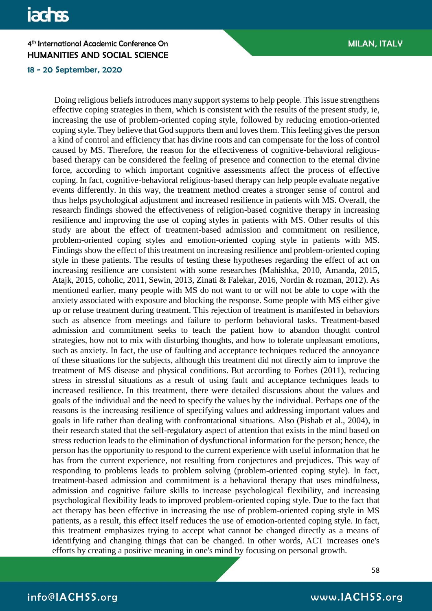# **jachss**

# 4<sup>th</sup> International Academic Conference On **HUMANITIES AND SOCIAL SCIENCE**

18 - 20 September, 2020

Doing religious beliefs introduces many support systems to help people. This issue strengthens effective coping strategies in them, which is consistent with the results of the present study, ie, increasing the use of problem-oriented coping style, followed by reducing emotion-oriented coping style. They believe that God supports them and loves them. This feeling gives the person a kind of control and efficiency that has divine roots and can compensate for the loss of control caused by MS. Therefore, the reason for the effectiveness of cognitive-behavioral religiousbased therapy can be considered the feeling of presence and connection to the eternal divine force, according to which important cognitive assessments affect the process of effective coping. In fact, cognitive-behavioral religious-based therapy can help people evaluate negative events differently. In this way, the treatment method creates a stronger sense of control and thus helps psychological adjustment and increased resilience in patients with MS. Overall, the research findings showed the effectiveness of religion-based cognitive therapy in increasing resilience and improving the use of coping styles in patients with MS. Other results of this study are about the effect of treatment-based admission and commitment on resilience, problem-oriented coping styles and emotion-oriented coping style in patients with MS. Findings show the effect of this treatment on increasing resilience and problem-oriented coping style in these patients. The results of testing these hypotheses regarding the effect of act on increasing resilience are consistent with some researches (Mahishka, 2010, Amanda, 2015, Atajk, 2015, coholic, 2011, Sewin, 2013, Zinati & Falekar, 2016, Nordin & rozman, 2012). As mentioned earlier, many people with MS do not want to or will not be able to cope with the anxiety associated with exposure and blocking the response. Some people with MS either give up or refuse treatment during treatment. This rejection of treatment is manifested in behaviors such as absence from meetings and failure to perform behavioral tasks. Treatment-based admission and commitment seeks to teach the patient how to abandon thought control strategies, how not to mix with disturbing thoughts, and how to tolerate unpleasant emotions, such as anxiety. In fact, the use of faulting and acceptance techniques reduced the annoyance of these situations for the subjects, although this treatment did not directly aim to improve the treatment of MS disease and physical conditions. But according to Forbes (2011), reducing stress in stressful situations as a result of using fault and acceptance techniques leads to increased resilience. In this treatment, there were detailed discussions about the values and goals of the individual and the need to specify the values by the individual. Perhaps one of the reasons is the increasing resilience of specifying values and addressing important values and goals in life rather than dealing with confrontational situations. Also (Pishab et al., 2004), in their research stated that the self-regulatory aspect of attention that exists in the mind based on stress reduction leads to the elimination of dysfunctional information for the person; hence, the person has the opportunity to respond to the current experience with useful information that he has from the current experience, not resulting from conjectures and prejudices. This way of responding to problems leads to problem solving (problem-oriented coping style). In fact, treatment-based admission and commitment is a behavioral therapy that uses mindfulness, admission and cognitive failure skills to increase psychological flexibility, and increasing psychological flexibility leads to improved problem-oriented coping style. Due to the fact that act therapy has been effective in increasing the use of problem-oriented coping style in MS patients, as a result, this effect itself reduces the use of emotion-oriented coping style. In fact, this treatment emphasizes trying to accept what cannot be changed directly as a means of identifying and changing things that can be changed. In other words, ACT increases one's efforts by creating a positive meaning in one's mind by focusing on personal growth.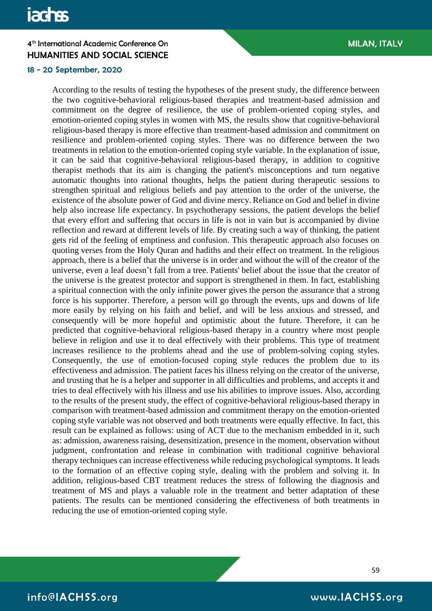#### 18 - 20 September, 2020

According to the results of testing the hypotheses of the present study, the difference between the two cognitive-behavioral religious-based therapies and treatment-based admission and commitment on the degree of resilience, the use of problem-oriented coping styles, and emotion-oriented coping styles in women with MS, the results show that cognitive-behavioral religious-based therapy is more effective than treatment-based admission and commitment on resilience and problem-oriented coping styles. There was no difference between the two treatments in relation to the emotion-oriented coping style variable. In the explanation of issue, it can be said that cognitive-behavioral religious-based therapy, in addition to cognitive therapist methods that its aim is changing the patient's misconceptions and turn negative automatic thoughts into rational thoughts, helps the patient during therapeutic sessions to strengthen spiritual and religious beliefs and pay attention to the order of the universe, the existence of the absolute power of God and divine mercy. Reliance on God and belief in divine help also increase life expectancy. In psychotherapy sessions, the patient develops the belief that every effort and suffering that occurs in life is not in vain but is accompanied by divine reflection and reward at different levels of life. By creating such a way of thinking, the patient gets rid of the feeling of emptiness and confusion. This therapeutic approach also focuses on quoting verses from the Holy Quran and hadiths and their effect on treatment. In the religious approach, there is a belief that the universe is in order and without the will of the creator of the universe, even a leaf doesn't fall from a tree. Patients' belief about the issue that the creator of the universe is the greatest protector and support is strengthened in them. In fact, establishing a spiritual connection with the only infinite power gives the person the assurance that a strong force is his supporter. Therefore, a person will go through the events, ups and downs of life more easily by relying on his faith and belief, and will be less anxious and stressed, and consequently will be more hopeful and optimistic about the future. Therefore, it can be predicted that cognitive-behavioral religious-based therapy in a country where most people believe in religion and use it to deal effectively with their problems. This type of treatment increases resilience to the problems ahead and the use of problem-solving coping styles. Consequently, the use of emotion-focused coping style reduces the problem due to its effectiveness and admission. The patient faces his illness relying on the creator of the universe, and trusting that he is a helper and supporter in all difficulties and problems, and accepts it and tries to deal effectively with his illness and use his abilities to improve issues. Also, according to the results of the present study, the effect of cognitive-behavioral religious-based therapy in comparison with treatment-based admission and commitment therapy on the emotion-oriented coping style variable was not observed and both treatments were equally effective. In fact, this result can be explained as follows: using of ACT due to the mechanism embedded in it, such as: admission, awareness raising, desensitization, presence in the moment, observation without judgment, confrontation and release in combination with traditional cognitive behavioral therapy techniques can increase effectiveness while reducing psychological symptoms. It leads to the formation of an effective coping style, dealing with the problem and solving it. In addition, religious-based CBT treatment reduces the stress of following the diagnosis and treatment of MS and plays a valuable role in the treatment and better adaptation of these patients. The results can be mentioned considering the effectiveness of both treatments in reducing the use of emotion-oriented coping style.

59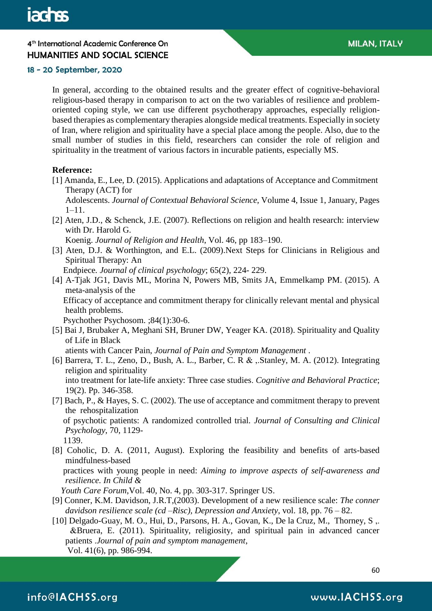#### 18 - 20 September, 2020

In general, according to the obtained results and the greater effect of cognitive-behavioral religious-based therapy in comparison to act on the two variables of resilience and problemoriented coping style, we can use different psychotherapy approaches, especially religionbased therapies as complementary therapies alongside medical treatments. Especially in society of Iran, where religion and spirituality have a special place among the people. Also, due to the small number of studies in this field, researchers can consider the role of religion and spirituality in the treatment of various factors in incurable patients, especially MS.

#### **Reference:**

[1] Amanda, E., Lee, D. (2015). Applications and adaptations of Acceptance and Commitment Therapy (ACT) for

 Adolescents. *Journal of Contextual Behavioral Science*, Volume 4, Issue 1, January, Pages 1–11.

[2] Aten, J.D., & Schenck, J.E. (2007). Reflections on religion and health research: interview with Dr. Harold G.

Koenig. *Journal of Religion and Health*, Vol. 46, pp 183–190.

[3] Aten, D.J. & Worthington, and E.L. (2009).Next Steps for Clinicians in Religious and Spiritual Therapy: An

Endpiece*. Journal of clinical psychology*; 65(2), 224- 229.

[4] [A-Tjak JG1](https://www.ncbi.nlm.nih.gov/pubmed/?term=A-Tjak%20JG%5BAuthor%5D&cauthor=true&cauthor_uid=25547522), [Davis ML,](https://www.ncbi.nlm.nih.gov/pubmed/?term=Davis%20ML%5BAuthor%5D&cauthor=true&cauthor_uid=25547522) [Morina N,](https://www.ncbi.nlm.nih.gov/pubmed/?term=Morina%20N%5BAuthor%5D&cauthor=true&cauthor_uid=25547522) [Powers MB,](https://www.ncbi.nlm.nih.gov/pubmed/?term=Powers%20MB%5BAuthor%5D&cauthor=true&cauthor_uid=25547522) [Smits JA,](https://www.ncbi.nlm.nih.gov/pubmed/?term=Smits%20JA%5BAuthor%5D&cauthor=true&cauthor_uid=25547522) [Emmelkamp PM.](https://www.ncbi.nlm.nih.gov/pubmed/?term=Emmelkamp%20PM%5BAuthor%5D&cauthor=true&cauthor_uid=25547522) (2015). A meta-analysis of the Efficacy of acceptance and commitment therapy for clinically relevant mental and physical health problems.

[Psychother Psychosom.](https://www.ncbi.nlm.nih.gov/pubmed/25547522) ;84(1):30-6.

[5] Bai J, Brubaker A, Meghani SH, Bruner DW, Yeager KA. (2018). Spirituality and Quality of Life in Black

atients with Cancer Pain, *Journal of Pain and Symptom Management* .

- [6] Barrera, T. L., Zeno, D., Bush, A. L., Barber, C. R & ,.Stanley, M. A. (2012). Integrating religion and spirituality into treatment for late-life anxiety: Three case studies. *Cognitive and Behavioral Practice*; 19(2). Pp. 346-358.
- [7] Bach, P., & Hayes, S. C. (2002). The use of acceptance and commitment therapy to prevent the rehospitalization of psychotic patients: A randomized controlled trial. *Journal of Consulting and Clinical Psychology*, 70, 1129-

1139.

[8] Coholic, D. A. (2011, August). Exploring the feasibility and benefits of arts-based mindfulness-based

 practices with young people in need: *Aiming to improve aspects of self-awareness and resilience. In Child &* 

 *Youth Care Forum*,Vol. 40, No. 4, pp. 303-317. Springer US.

- [9] Conner, K.M. Davidson, J.R.T,(2003). Development of a new resilience scale: *The conner davidson resilience scale (cd –Risc), Depression and Anxiety*, vol. 18, pp. 76 – 82.
- [10] Delgado-Guay, M. O., Hui, D., Parsons, H. A., Govan, K., De la Cruz, M., Thorney, S ,. &Bruera, E. (2011). Spirituality, religiosity, and spiritual pain in advanced cancer patients .*Journal of pain and symptom management*, Vol. 41(6), pp. 986-994.

60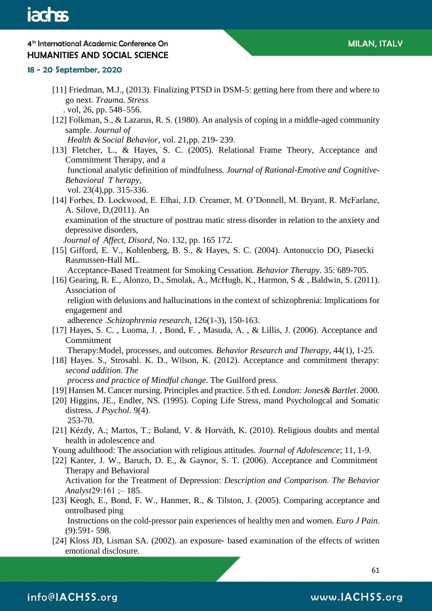#### 18 - 20 September, 2020

- [11] Friedman, M.J., (2013). Finalizing PTSD in DSM-5: getting here from there and where to go next. *Trauma. Stress* . vol, 26, pp. 548–556.
- [12] Folkman, S., & Lazarus, R. S. (1980). An analysis of coping in a middle-aged community sample. *Journal of*

 *Health & Social Behavior*, vol. 21,pp. 219- 239.

- [13] Fletcher, L., & Hayes, S. C. (2005). Relational Frame Theory, Acceptance and Commitment Therapy, and a functional analytic definition of mindfulness. *Journal of Rational-Emotive and Cognitive-Behavioral T herapy*, vol. 23(4),pp. 315-336.
- [14] Forbes, D. Lockwood, E. Elhai, J.D. Creamer, M. O'Donnell, M. Bryant, R. McFarlane, A. Silove, D,(2011). An

 examination of the structure of posttrau matic stress disorder in relation to the anxiety and depressive disorders,

*Journal of Affect, Disord*, No. 132, pp. 165 172.

[15] Gifford, E. V., Kohlenberg, B. S., & Hayes, S. C. (2004). Antonuccio DO, Piasecki Rasmussen-Hall ML.

Acceptance-Based Treatment for Smoking Cessation*. Behavior Therapy*. 35: 689-705.

[16] Gearing, R. E., Alonzo, D., Smolak, A., McHugh, K., Harmon, S & ,.Baldwin, S. (2011). Association of

 religion with delusions and hallucinations in the context of schizophrenia: Implications for engagement and

adherence .*Schizophrenia research*, 126(1-3), 150-163.

[17] Hayes, S. C., Luoma, J., Bond, F., Masuda, A., & Lillis, J. (2006). Acceptance and Commitment

Therapy:Model, processes, and outcomes. *Behavior Research and Therapy*, 44(1), 1-25.

[18] Hayes. S., Strosahl. K. D., Wilson, K. (2012). Acceptance and commitment therapy: *second addition. The*

 *process and practice of Mindful change*. The Guilford press.

- [19] Hansen M. Cancer nursing. Principles and practice. 5 th ed. *London: Jones& Bartlet*. 2000.
- [20] Higgins, JE., Endler, NS. (1995). Coping Life Stress, mand Psychologcal and Somatic distress*. J Psychol*. 9(4). 253-70.
- [21] Kézdy, A.; Martos, T.; Boland, V. & Horváth, K. (2010). Religious doubts and mental health in adolescence and
- Young adulthood: The association with religious attitudes*. Journal of Adolescence*; 11, 1-9.
- [22] Kanter, J. W., Baruch, D. E., & Gaynor, S. T. (2006). Acceptance and Commitment Therapy and Behavioral Activation for the Treatment of Depression: *Description and Comparison. The Behavior Analyst*29:161 ; – 185.
- [23] Keogh, E., Bond, F. W., Hanmer, R., & Tilston, J. (2005). Comparing acceptance and ontrolbased ping

 Instructions on the cold-pressor pain experiences of healthy men and women. *Euro J Pain*. (9):591- 598.

[24] Kloss JD, Lisman SA. (2002). an exposure- based examination of the effects of written emotional disclosure.